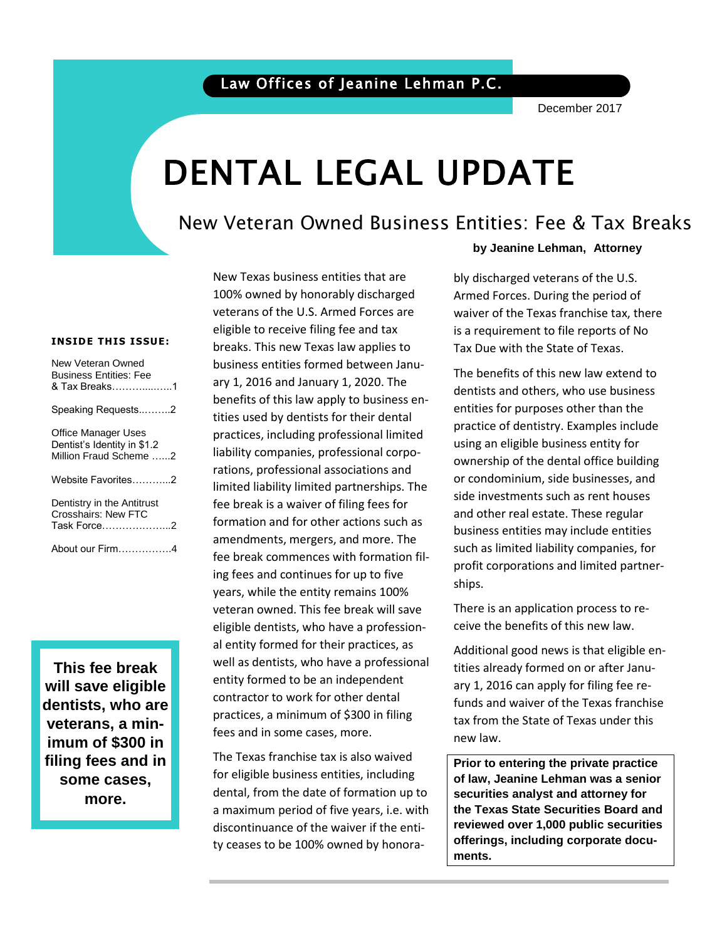December 2017

# DENTAL LEGAL UPDATE

### New Veteran Owned Business Entities: Fee & Tax Breaks

#### **INSIDE THIS ISSUE:**

| New Veteran Owned<br><b>Business Entities: Fee</b><br>& Tax Breaks1                 |
|-------------------------------------------------------------------------------------|
| Speaking Requests2                                                                  |
| <b>Office Manager Uses</b><br>Dentist's Identity in \$1.2<br>Million Fraud Scheme 2 |
| Website Favorites2                                                                  |
| Dentistry in the Antitrust<br>Crosshairs: New FTC<br>Task Force2                    |
| About our Firm4                                                                     |

**This fee break will save eligible dentists, who are veterans, a minimum of \$300 in filing fees and in some cases, more.**

New Texas business entities that are 100% owned by honorably discharged veterans of the U.S. Armed Forces are eligible to receive filing fee and tax breaks. This new Texas law applies to business entities formed between January 1, 2016 and January 1, 2020. The benefits of this law apply to business entities used by dentists for their dental practices, including professional limited liability companies, professional corporations, professional associations and limited liability limited partnerships. The fee break is a waiver of filing fees for formation and for other actions such as amendments, mergers, and more. The fee break commences with formation filing fees and continues for up to five years, while the entity remains 100% veteran owned. This fee break will save eligible dentists, who have a professional entity formed for their practices, as well as dentists, who have a professional entity formed to be an independent contractor to work for other dental practices, a minimum of \$300 in filing fees and in some cases, more.

The Texas franchise tax is also waived for eligible business entities, including dental, from the date of formation up to a maximum period of five years, i.e. with discontinuance of the waiver if the entity ceases to be 100% owned by honora-

#### **by Jeanine Lehman, Attorney**

winned Forces: Daring the period of<br>waiver of the Texas franchise tax, there is a requirement to me reports or No.<br>Tax Due with the State of Texas. bly discharged veterans of the U.S. Armed Forces. During the period of is a requirement to file reports of No

The benefits of this new law extend to dentists and others, who use business entities for purposes other than the practice of dentistry. Examples include using an eligible business entity for ownership of the dental office building or condominium, side businesses, and side investments such as rent houses and other real estate. These regular business entities may include entities such as limited liability companies, for profit corporations and limited partnerships.

> There is an application process to receive the benefits of this new law.

Additional good news is that eligible entities already formed on or after January 1, 2016 can apply for filing fee refunds and waiver of the Texas franchise tax from the State of Texas under this new law.

 **securities analyst and attorney for Prior to entering the private practice of law, Jeanine Lehman was a senior the Texas State Securities Board and reviewed over 1,000 public securities offerings, including corporate documents.**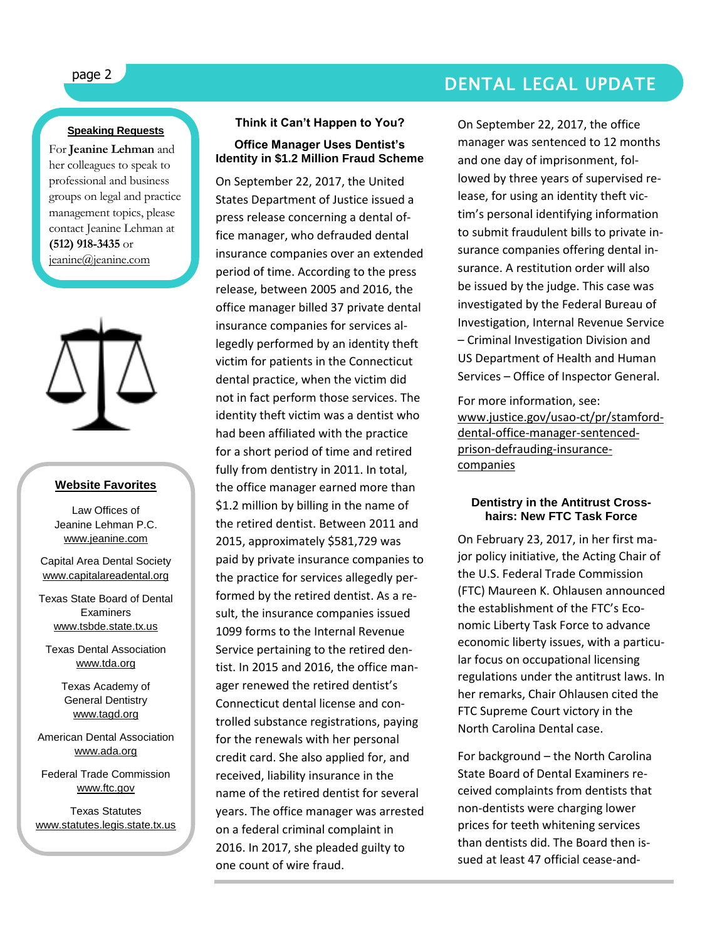#### **Speaking Requests**

For **Jeanine Lehman** and her colleagues to speak to professional and business groups on legal and practice management topics, please contact Jeanine Lehman at **(512) 918-3435** or [jeanine@jeanine.com](mailto:jeanine@jeanine.com)



ì

ł

#### **Website Favorites**

Law Offices of Jeanine Lehman P.C. [www.jeanine.com](http://www.jeanine.com/)

Capital Area Dental Society [www.capitalareadental.org](http://www.capitalareadental.org/)

Texas State Board of Dental Examiners [www.tsbde.state.tx.us](http://www.tsbde.state.tx.us/)

Texas Dental Association [www.tda.org](http://www.tda.org/)

> Texas Academy of General Dentistry [www.tagd.org](http://www.tagd.org/)

American Dental Association [www.ada.org](http://www.ada.org/)

Federal Trade Commission www.ftc.gov

Texas Statutes [www.statutes.legis.state.tx.us](http://www.statutes.legis.state.tx.us/)

### **Think it Can't Happen to You? Office Manager Uses Dentist's Identity in \$1.2 Million Fraud Scheme**

On September 22, 2017, the United States Department of Justice issued a press release concerning a dental office manager, who defrauded dental insurance companies over an extended period of time. According to the press release, between 2005 and 2016, the office manager billed 37 private dental insurance companies for services allegedly performed by an identity theft victim for patients in the Connecticut dental practice, when the victim did not in fact perform those services. The identity theft victim was a dentist who had been affiliated with the practice for a short period of time and retired fully from dentistry in 2011. In total, the office manager earned more than \$1.2 million by billing in the name of the retired dentist. Between 2011 and 2015, approximately \$581,729 was paid by private insurance companies to the practice for services allegedly performed by the retired dentist. As a result, the insurance companies issued 1099 forms to the Internal Revenue Service pertaining to the retired dentist. In 2015 and 2016, the office manager renewed the retired dentist's Connecticut dental license and controlled substance registrations, paying for the renewals with her personal credit card. She also applied for, and received, liability insurance in the name of the retired dentist for several years. The office manager was arrested on a federal criminal complaint in 2016. In 2017, she pleaded guilty to one count of wire fraud.

## page 2 DENTAL LEGAL UPDATE

On September 22, 2017, the office manager was sentenced to 12 months and one day of imprisonment, followed by three years of supervised release, for using an identity theft victim's personal identifying information to submit fraudulent bills to private insurance companies offering dental insurance. A restitution order will also be issued by the judge. This case was investigated by the Federal Bureau of Investigation, Internal Revenue Service – Criminal Investigation Division and US Department of Health and Human Services – Office of Inspector General.

For more information, see: [www.justice.gov/usao-ct/pr/stamford](http://www.justice.gov/usao-ct/pr/stamford-dental-office-manager-sentenced-prison-defrauding-insurance-companies)[dental-office-manager-sentenced](http://www.justice.gov/usao-ct/pr/stamford-dental-office-manager-sentenced-prison-defrauding-insurance-companies)[prison-defrauding-insurance](http://www.justice.gov/usao-ct/pr/stamford-dental-office-manager-sentenced-prison-defrauding-insurance-companies)[companies](http://www.justice.gov/usao-ct/pr/stamford-dental-office-manager-sentenced-prison-defrauding-insurance-companies)

#### **Dentistry in the Antitrust Crosshairs: New FTC Task Force**

On February 23, 2017, in her first major policy initiative, the Acting Chair of the U.S. Federal Trade Commission (FTC) Maureen K. Ohlausen announced the establishment of the FTC's Economic Liberty Task Force to advance economic liberty issues, with a particular focus on occupational licensing regulations under the antitrust laws. In her remarks, Chair Ohlausen cited the FTC Supreme Court victory in the North Carolina Dental case.

For background – the North Carolina State Board of Dental Examiners received complaints from dentists that non-dentists were charging lower prices for teeth whitening services than dentists did. The Board then issued at least 47 official cease-and-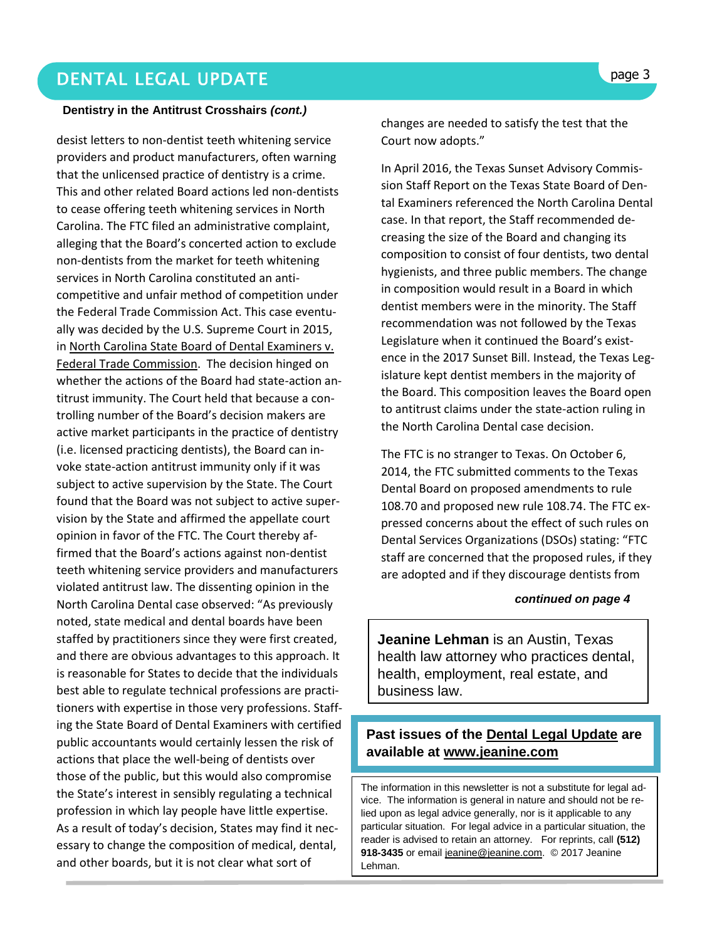### DENTAL LEGAL UPDATE **page 3**

#### **Dentistry in the Antitrust Crosshairs** *(cont.)*

desist letters to non-dentist teeth whitening service providers and product manufacturers, often warning that the unlicensed practice of dentistry is a crime. This and other related Board actions led non-dentists to cease offering teeth whitening services in North Carolina. The FTC filed an administrative complaint, alleging that the Board's concerted action to exclude non-dentists from the market for teeth whitening services in North Carolina constituted an anticompetitive and unfair method of competition under the Federal Trade Commission Act. This case eventually was decided by the U.S. Supreme Court in 2015, in North Carolina State Board of Dental Examiners v. Federal Trade Commission. The decision hinged on whether the actions of the Board had state-action antitrust immunity. The Court held that because a controlling number of the Board's decision makers are active market participants in the practice of dentistry (i.e. licensed practicing dentists), the Board can invoke state-action antitrust immunity only if it was subject to active supervision by the State. The Court found that the Board was not subject to active supervision by the State and affirmed the appellate court opinion in favor of the FTC. The Court thereby affirmed that the Board's actions against non-dentist teeth whitening service providers and manufacturers violated antitrust law. The dissenting opinion in the North Carolina Dental case observed: "As previously noted, state medical and dental boards have been staffed by practitioners since they were first created, and there are obvious advantages to this approach. It is reasonable for States to decide that the individuals best able to regulate technical professions are practitioners with expertise in those very professions. Staffing the State Board of Dental Examiners with certified public accountants would certainly lessen the risk of actions that place the well-being of dentists over those of the public, but this would also compromise the State's interest in sensibly regulating a technical profession in which lay people have little expertise. As a result of today's decision, States may find it necessary to change the composition of medical, dental, and other boards, but it is not clear what sort of

changes are needed to satisfy the test that the Court now adopts."

In April 2016, the Texas Sunset Advisory Commission Staff Report on the Texas State Board of Dental Examiners referenced the North Carolina Dental case. In that report, the Staff recommended decreasing the size of the Board and changing its composition to consist of four dentists, two dental hygienists, and three public members. The change in composition would result in a Board in which dentist members were in the minority. The Staff recommendation was not followed by the Texas Legislature when it continued the Board's existence in the 2017 Sunset Bill. Instead, the Texas Legislature kept dentist members in the majority of the Board. This composition leaves the Board open to antitrust claims under the state-action ruling in the North Carolina Dental case decision.

The FTC is no stranger to Texas. On October 6, 2014, the FTC submitted comments to the Texas Dental Board on proposed amendments to rule 108.70 and proposed new rule 108.74. The FTC expressed concerns about the effect of such rules on Dental Services Organizations (DSOs) stating: "FTC staff are concerned that the proposed rules, if they are adopted and if they discourage dentists from

#### *continued on page 4*

**Jeanine Lehman** is an Austin, Texas health law attorney who practices dental, health, employment, real estate, and business law.

### **Past issues of the Dental Legal Update are available at [www.jeanine.com](http://www.jeanine.com/)**

The information in this newsletter is not a substitute for legal advice. The information is general in nature and should not be relied upon as legal advice generally, nor is it applicable to any particular situation. For legal advice in a particular situation, the reader is advised to retain an attorney. For reprints, call **(512) 918-3435** or email [jeanine@jeanine.com.](mailto:jeanine@jeanine.com) © 2017 Jeanine Lehman.